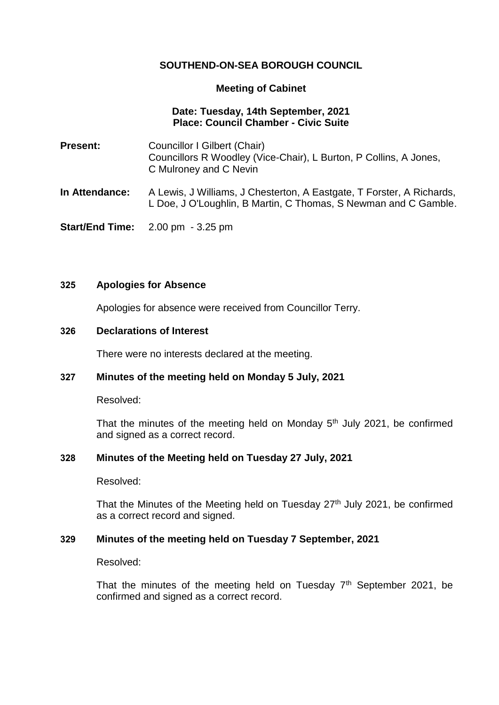# **SOUTHEND-ON-SEA BOROUGH COUNCIL**

### **Meeting of Cabinet**

## **Date: Tuesday, 14th September, 2021 Place: Council Chamber - Civic Suite**

- **Present:** Councillor I Gilbert (Chair) Councillors R Woodley (Vice-Chair), L Burton, P Collins, A Jones, C Mulroney and C Nevin
- **In Attendance:** A Lewis, J Williams, J Chesterton, A Eastgate, T Forster, A Richards, L Doe, J O'Loughlin, B Martin, C Thomas, S Newman and C Gamble.

**Start/End Time:** 2.00 pm - 3.25 pm

### **325 Apologies for Absence**

Apologies for absence were received from Councillor Terry.

### **326 Declarations of Interest**

There were no interests declared at the meeting.

# **327 Minutes of the meeting held on Monday 5 July, 2021**

Resolved:

That the minutes of the meeting held on Monday  $5<sup>th</sup>$  July 2021, be confirmed and signed as a correct record.

#### **328 Minutes of the Meeting held on Tuesday 27 July, 2021**

Resolved:

That the Minutes of the Meeting held on Tuesday  $27<sup>th</sup>$  July 2021, be confirmed as a correct record and signed.

# **329 Minutes of the meeting held on Tuesday 7 September, 2021**

Resolved:

That the minutes of the meeting held on Tuesday  $7<sup>th</sup>$  September 2021, be confirmed and signed as a correct record.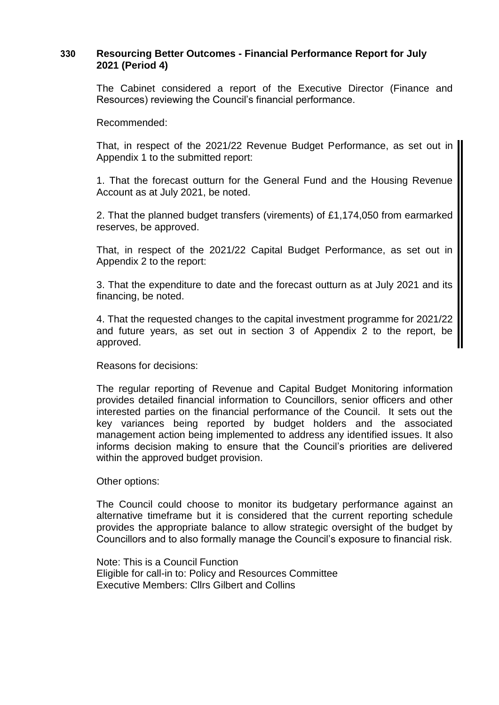# **330 Resourcing Better Outcomes - Financial Performance Report for July 2021 (Period 4)**

The Cabinet considered a report of the Executive Director (Finance and Resources) reviewing the Council's financial performance.

Recommended:

That, in respect of the 2021/22 Revenue Budget Performance, as set out in Appendix 1 to the submitted report:

1. That the forecast outturn for the General Fund and the Housing Revenue Account as at July 2021, be noted.

2. That the planned budget transfers (virements) of £1,174,050 from earmarked reserves, be approved.

That, in respect of the 2021/22 Capital Budget Performance, as set out in Appendix 2 to the report:

3. That the expenditure to date and the forecast outturn as at July 2021 and its financing, be noted.

4. That the requested changes to the capital investment programme for 2021/22 and future years, as set out in section 3 of Appendix 2 to the report, be approved.

Reasons for decisions:

The regular reporting of Revenue and Capital Budget Monitoring information provides detailed financial information to Councillors, senior officers and other interested parties on the financial performance of the Council. It sets out the key variances being reported by budget holders and the associated management action being implemented to address any identified issues. It also informs decision making to ensure that the Council's priorities are delivered within the approved budget provision.

Other options:

The Council could choose to monitor its budgetary performance against an alternative timeframe but it is considered that the current reporting schedule provides the appropriate balance to allow strategic oversight of the budget by Councillors and to also formally manage the Council's exposure to financial risk.

Note: This is a Council Function Eligible for call-in to: Policy and Resources Committee Executive Members: Cllrs Gilbert and Collins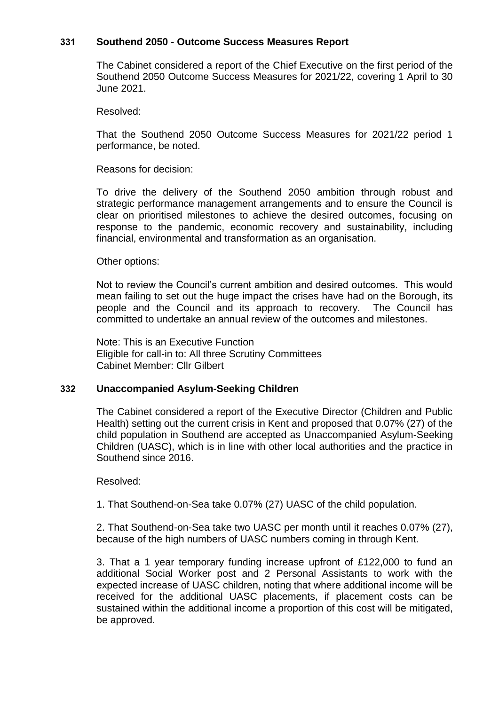### **331 Southend 2050 - Outcome Success Measures Report**

The Cabinet considered a report of the Chief Executive on the first period of the Southend 2050 Outcome Success Measures for 2021/22, covering 1 April to 30 June 2021.

Resolved:

That the Southend 2050 Outcome Success Measures for 2021/22 period 1 performance, be noted.

Reasons for decision:

To drive the delivery of the Southend 2050 ambition through robust and strategic performance management arrangements and to ensure the Council is clear on prioritised milestones to achieve the desired outcomes, focusing on response to the pandemic, economic recovery and sustainability, including financial, environmental and transformation as an organisation.

#### Other options:

Not to review the Council's current ambition and desired outcomes. This would mean failing to set out the huge impact the crises have had on the Borough, its people and the Council and its approach to recovery. The Council has committed to undertake an annual review of the outcomes and milestones.

Note: This is an Executive Function Eligible for call-in to: All three Scrutiny Committees Cabinet Member: Cllr Gilbert

#### **332 Unaccompanied Asylum-Seeking Children**

The Cabinet considered a report of the Executive Director (Children and Public Health) setting out the current crisis in Kent and proposed that 0.07% (27) of the child population in Southend are accepted as Unaccompanied Asylum-Seeking Children (UASC), which is in line with other local authorities and the practice in Southend since 2016.

Resolved:

1. That Southend-on-Sea take 0.07% (27) UASC of the child population.

2. That Southend-on-Sea take two UASC per month until it reaches 0.07% (27), because of the high numbers of UASC numbers coming in through Kent.

3. That a 1 year temporary funding increase upfront of £122,000 to fund an additional Social Worker post and 2 Personal Assistants to work with the expected increase of UASC children, noting that where additional income will be received for the additional UASC placements, if placement costs can be sustained within the additional income a proportion of this cost will be mitigated, be approved.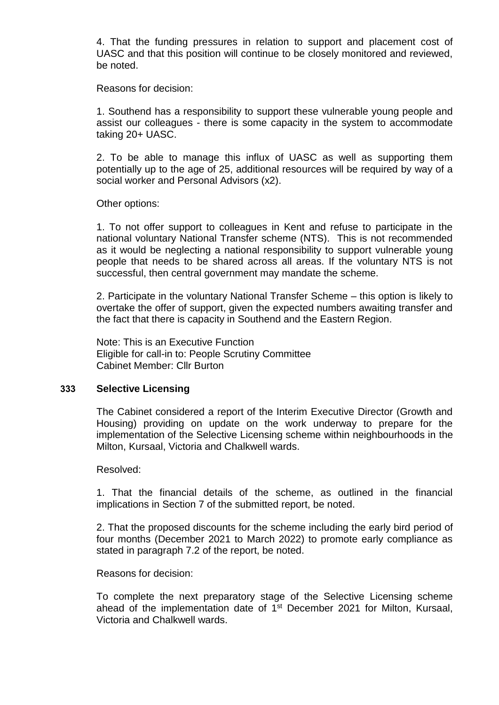4. That the funding pressures in relation to support and placement cost of UASC and that this position will continue to be closely monitored and reviewed, be noted.

Reasons for decision:

1. Southend has a responsibility to support these vulnerable young people and assist our colleagues - there is some capacity in the system to accommodate taking 20+ UASC.

2. To be able to manage this influx of UASC as well as supporting them potentially up to the age of 25, additional resources will be required by way of a social worker and Personal Advisors (x2).

Other options:

1. To not offer support to colleagues in Kent and refuse to participate in the national voluntary National Transfer scheme (NTS). This is not recommended as it would be neglecting a national responsibility to support vulnerable young people that needs to be shared across all areas. If the voluntary NTS is not successful, then central government may mandate the scheme.

2. Participate in the voluntary National Transfer Scheme – this option is likely to overtake the offer of support, given the expected numbers awaiting transfer and the fact that there is capacity in Southend and the Eastern Region.

Note: This is an Executive Function Eligible for call-in to: People Scrutiny Committee Cabinet Member: Cllr Burton

#### **333 Selective Licensing**

The Cabinet considered a report of the Interim Executive Director (Growth and Housing) providing on update on the work underway to prepare for the implementation of the Selective Licensing scheme within neighbourhoods in the Milton, Kursaal, Victoria and Chalkwell wards.

#### Resolved:

1. That the financial details of the scheme, as outlined in the financial implications in Section 7 of the submitted report, be noted.

2. That the proposed discounts for the scheme including the early bird period of four months (December 2021 to March 2022) to promote early compliance as stated in paragraph 7.2 of the report, be noted.

#### Reasons for decision:

To complete the next preparatory stage of the Selective Licensing scheme ahead of the implementation date of 1<sup>st</sup> December 2021 for Milton, Kursaal, Victoria and Chalkwell wards.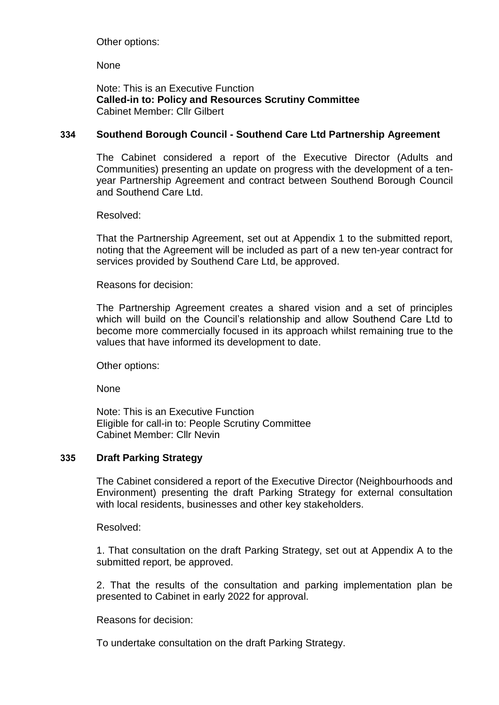Other options:

**None** 

Note: This is an Executive Function **Called-in to: Policy and Resources Scrutiny Committee** Cabinet Member: Cllr Gilbert

# **334 Southend Borough Council - Southend Care Ltd Partnership Agreement**

The Cabinet considered a report of the Executive Director (Adults and Communities) presenting an update on progress with the development of a tenyear Partnership Agreement and contract between Southend Borough Council and Southend Care Ltd.

Resolved:

That the Partnership Agreement, set out at Appendix 1 to the submitted report, noting that the Agreement will be included as part of a new ten-year contract for services provided by Southend Care Ltd, be approved.

Reasons for decision:

The Partnership Agreement creates a shared vision and a set of principles which will build on the Council's relationship and allow Southend Care Ltd to become more commercially focused in its approach whilst remaining true to the values that have informed its development to date.

Other options:

None

Note: This is an Executive Function Eligible for call-in to: People Scrutiny Committee Cabinet Member: Cllr Nevin

# **335 Draft Parking Strategy**

The Cabinet considered a report of the Executive Director (Neighbourhoods and Environment) presenting the draft Parking Strategy for external consultation with local residents, businesses and other key stakeholders.

Resolved:

1. That consultation on the draft Parking Strategy, set out at Appendix A to the submitted report, be approved.

2. That the results of the consultation and parking implementation plan be presented to Cabinet in early 2022 for approval.

Reasons for decision:

To undertake consultation on the draft Parking Strategy.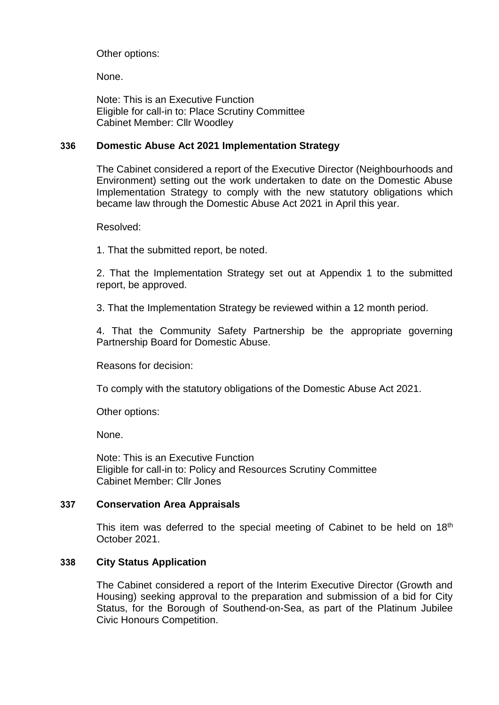Other options:

None.

Note: This is an Executive Function Eligible for call-in to: Place Scrutiny Committee Cabinet Member: Cllr Woodley

# **336 Domestic Abuse Act 2021 Implementation Strategy**

The Cabinet considered a report of the Executive Director (Neighbourhoods and Environment) setting out the work undertaken to date on the Domestic Abuse Implementation Strategy to comply with the new statutory obligations which became law through the Domestic Abuse Act 2021 in April this year.

Resolved:

1. That the submitted report, be noted.

2. That the Implementation Strategy set out at Appendix 1 to the submitted report, be approved.

3. That the Implementation Strategy be reviewed within a 12 month period.

4. That the Community Safety Partnership be the appropriate governing Partnership Board for Domestic Abuse.

Reasons for decision:

To comply with the statutory obligations of the Domestic Abuse Act 2021.

Other options:

None.

Note: This is an Executive Function Eligible for call-in to: Policy and Resources Scrutiny Committee Cabinet Member: Cllr Jones

# **337 Conservation Area Appraisals**

This item was deferred to the special meeting of Cabinet to be held on 18<sup>th</sup> October 2021.

# **338 City Status Application**

The Cabinet considered a report of the Interim Executive Director (Growth and Housing) seeking approval to the preparation and submission of a bid for City Status, for the Borough of Southend-on-Sea, as part of the Platinum Jubilee Civic Honours Competition.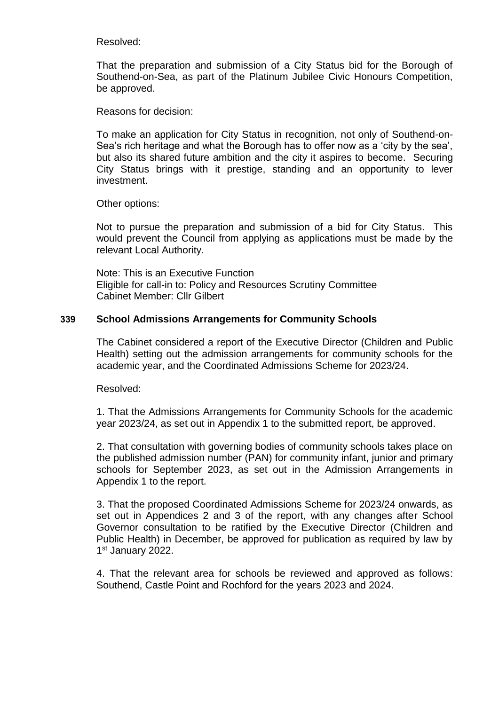Resolved:

That the preparation and submission of a City Status bid for the Borough of Southend-on-Sea, as part of the Platinum Jubilee Civic Honours Competition, be approved.

Reasons for decision:

To make an application for City Status in recognition, not only of Southend-on-Sea's rich heritage and what the Borough has to offer now as a 'city by the sea', but also its shared future ambition and the city it aspires to become. Securing City Status brings with it prestige, standing and an opportunity to lever investment.

Other options:

Not to pursue the preparation and submission of a bid for City Status. This would prevent the Council from applying as applications must be made by the relevant Local Authority.

Note: This is an Executive Function Eligible for call-in to: Policy and Resources Scrutiny Committee Cabinet Member: Cllr Gilbert

# **339 School Admissions Arrangements for Community Schools**

The Cabinet considered a report of the Executive Director (Children and Public Health) setting out the admission arrangements for community schools for the academic year, and the Coordinated Admissions Scheme for 2023/24.

Resolved:

1. That the Admissions Arrangements for Community Schools for the academic year 2023/24, as set out in Appendix 1 to the submitted report, be approved.

2. That consultation with governing bodies of community schools takes place on the published admission number (PAN) for community infant, junior and primary schools for September 2023, as set out in the Admission Arrangements in Appendix 1 to the report.

3. That the proposed Coordinated Admissions Scheme for 2023/24 onwards, as set out in Appendices 2 and 3 of the report, with any changes after School Governor consultation to be ratified by the Executive Director (Children and Public Health) in December, be approved for publication as required by law by 1st January 2022.

4. That the relevant area for schools be reviewed and approved as follows: Southend, Castle Point and Rochford for the years 2023 and 2024.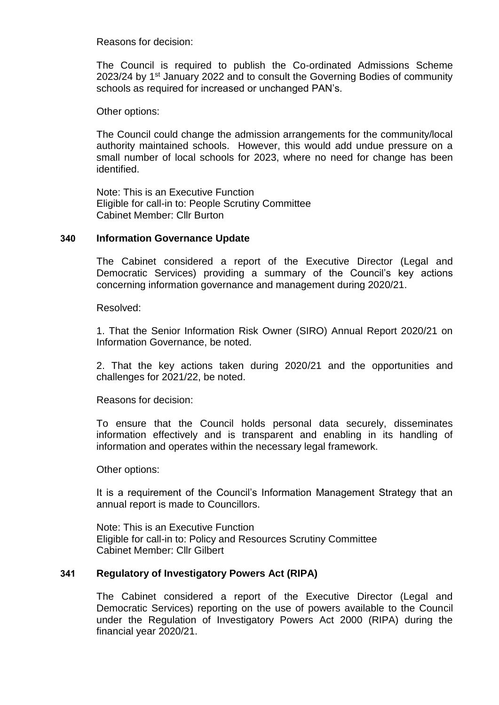Reasons for decision:

The Council is required to publish the Co-ordinated Admissions Scheme 2023/24 by 1<sup>st</sup> January 2022 and to consult the Governing Bodies of community schools as required for increased or unchanged PAN's.

Other options:

The Council could change the admission arrangements for the community/local authority maintained schools. However, this would add undue pressure on a small number of local schools for 2023, where no need for change has been identified.

Note: This is an Executive Function Eligible for call-in to: People Scrutiny Committee Cabinet Member: Cllr Burton

### **340 Information Governance Update**

The Cabinet considered a report of the Executive Director (Legal and Democratic Services) providing a summary of the Council's key actions concerning information governance and management during 2020/21.

Resolved:

1. That the Senior Information Risk Owner (SIRO) Annual Report 2020/21 on Information Governance, be noted.

2. That the key actions taken during 2020/21 and the opportunities and challenges for 2021/22, be noted.

Reasons for decision:

To ensure that the Council holds personal data securely, disseminates information effectively and is transparent and enabling in its handling of information and operates within the necessary legal framework.

Other options:

It is a requirement of the Council's Information Management Strategy that an annual report is made to Councillors.

Note: This is an Executive Function Eligible for call-in to: Policy and Resources Scrutiny Committee Cabinet Member: Cllr Gilbert

# **341 Regulatory of Investigatory Powers Act (RIPA)**

The Cabinet considered a report of the Executive Director (Legal and Democratic Services) reporting on the use of powers available to the Council under the Regulation of Investigatory Powers Act 2000 (RIPA) during the financial year 2020/21.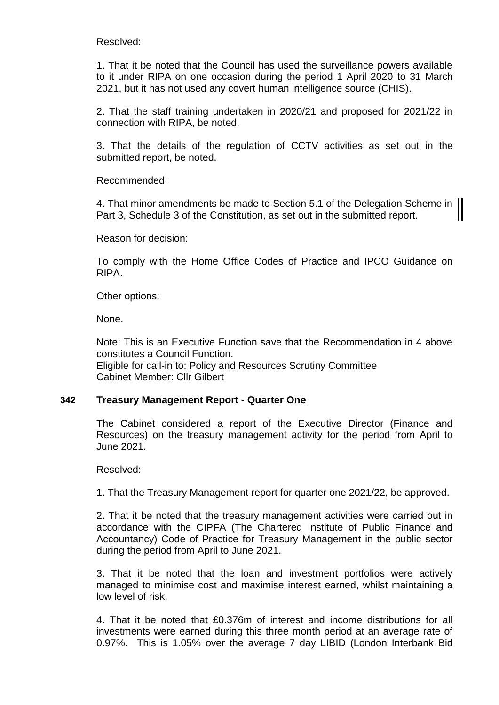Resolved:

1. That it be noted that the Council has used the surveillance powers available to it under RIPA on one occasion during the period 1 April 2020 to 31 March 2021, but it has not used any covert human intelligence source (CHIS).

2. That the staff training undertaken in 2020/21 and proposed for 2021/22 in connection with RIPA, be noted.

3. That the details of the regulation of CCTV activities as set out in the submitted report, be noted.

Recommended:

4. That minor amendments be made to Section 5.1 of the Delegation Scheme in  $\parallel$ Part 3, Schedule 3 of the Constitution, as set out in the submitted report.

Reason for decision:

To comply with the Home Office Codes of Practice and IPCO Guidance on RIPA.

Other options:

None.

Note: This is an Executive Function save that the Recommendation in 4 above constitutes a Council Function. Eligible for call-in to: Policy and Resources Scrutiny Committee Cabinet Member: Cllr Gilbert

# **342 Treasury Management Report - Quarter One**

The Cabinet considered a report of the Executive Director (Finance and Resources) on the treasury management activity for the period from April to June 2021.

Resolved:

1. That the Treasury Management report for quarter one 2021/22, be approved.

2. That it be noted that the treasury management activities were carried out in accordance with the CIPFA (The Chartered Institute of Public Finance and Accountancy) Code of Practice for Treasury Management in the public sector during the period from April to June 2021.

3. That it be noted that the loan and investment portfolios were actively managed to minimise cost and maximise interest earned, whilst maintaining a low level of risk.

4. That it be noted that £0.376m of interest and income distributions for all investments were earned during this three month period at an average rate of 0.97%. This is 1.05% over the average 7 day LIBID (London Interbank Bid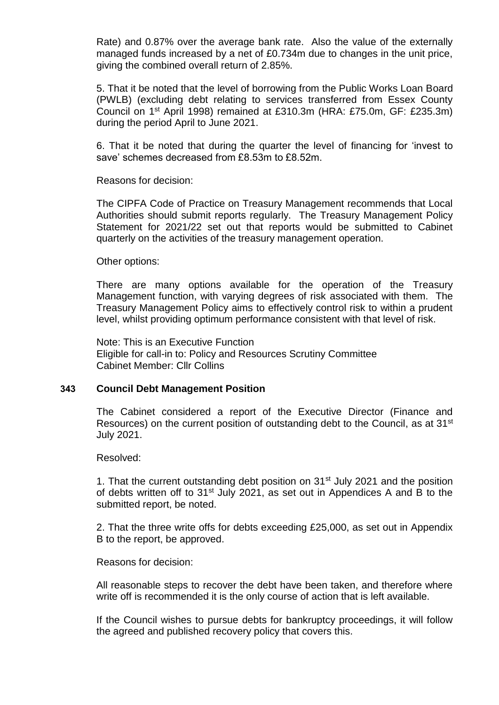Rate) and 0.87% over the average bank rate. Also the value of the externally managed funds increased by a net of £0.734m due to changes in the unit price, giving the combined overall return of 2.85%.

5. That it be noted that the level of borrowing from the Public Works Loan Board (PWLB) (excluding debt relating to services transferred from Essex County Council on 1st April 1998) remained at £310.3m (HRA: £75.0m, GF: £235.3m) during the period April to June 2021.

6. That it be noted that during the quarter the level of financing for 'invest to save' schemes decreased from £8.53m to £8.52m.

Reasons for decision:

The CIPFA Code of Practice on Treasury Management recommends that Local Authorities should submit reports regularly. The Treasury Management Policy Statement for 2021/22 set out that reports would be submitted to Cabinet quarterly on the activities of the treasury management operation.

Other options:

There are many options available for the operation of the Treasury Management function, with varying degrees of risk associated with them. The Treasury Management Policy aims to effectively control risk to within a prudent level, whilst providing optimum performance consistent with that level of risk.

Note: This is an Executive Function Eligible for call-in to: Policy and Resources Scrutiny Committee Cabinet Member: Cllr Collins

#### **343 Council Debt Management Position**

The Cabinet considered a report of the Executive Director (Finance and Resources) on the current position of outstanding debt to the Council, as at 31<sup>st</sup> July 2021.

Resolved:

1. That the current outstanding debt position on 31<sup>st</sup> July 2021 and the position of debts written off to 31<sup>st</sup> July 2021, as set out in Appendices A and B to the submitted report, be noted.

2. That the three write offs for debts exceeding £25,000, as set out in Appendix B to the report, be approved.

Reasons for decision:

All reasonable steps to recover the debt have been taken, and therefore where write off is recommended it is the only course of action that is left available.

If the Council wishes to pursue debts for bankruptcy proceedings, it will follow the agreed and published recovery policy that covers this.